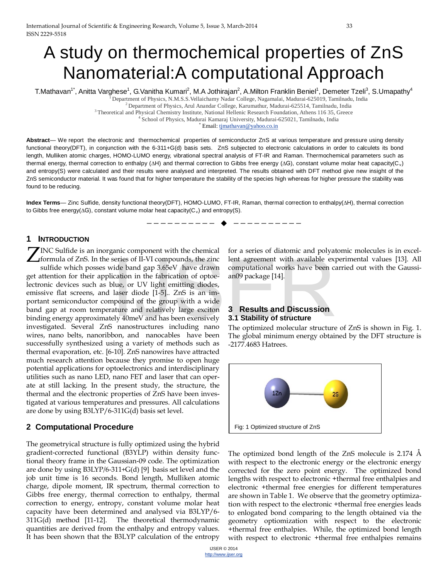# A study on thermochemical properties of ZnS Nanomaterial:A computational Approach

T.Mathavan<sup>1\*</sup>, Anitta Varghese<sup>1</sup>, G.Vanitha Kumari<sup>2</sup>, M.A Jothirajan<sup>2</sup>, A.Milton Franklin Beniel<sup>1</sup>, Demeter Tzeli<sup>3</sup>, S.Umapathy<sup>4</sup>

 $^2$  Department of Physics, Arul Anandar College, Karumathur, Madurai-625514, Tamilnadu, India<br>3 Theoretical and Physical Chemistry Institute, National Hellenic Research Foundation, Athens 116 35, Greece<br>4 School of Physi

\* Email: [tjmathavan@yahoo.co.in](mailto:tjmathavan@yahoo.co.in)

**Abstract**— We report the electronic and thermochemical properties of semiconductor ZnS at various temperature and pressure using density functional theory(DFT), in conjunction with the 6-311+G(d) basis sets. ZnS subjected to electronic calculations in order to calculets its bond length, Mulliken atomic charges, HOMO-LUMO energy, vibrational spectral analysis of FT-IR and Raman. Thermochemical parameters such as thermal energy, thermal correction to enthalpy (ΔH) and thermal correction to Gibbs free energy (ΔG), constant volume molar heat capacity(C<sub>v</sub>) and entropy(S) were calculated and their results were analysed and interpreted. The results obtained with DFT method give new insight of the ZnS semiconductor material. It was found that for higher temperature the stability of the species high whereas for higher pressure the stability was found to be reducing.

**Index Terms**— Zinc Sulfide, density functional theory(DFT), HOMO-LUMO, FT-IR, Raman, thermal correction to enthalpy(∆H), thermal correction to Gibbs free energy(ΔG), constant volume molar heat capacity(C<sub>v</sub>) and entropy(S).

## **1 INTRODUCTION**

 $\sum$  INC Sulfide is an inorganic component with the chemical formula of ZnS. In the series of II-VI compounds, the zinc formula of ZnS. In the series of II-VI compounds, the zinc sulfide which posses wide band gap 3.65eV have drawn get attention for their application in the fabrication of optoelectronic devices such as blue, or UV light emitting diodes, emissive flat screens, and laser diode [1-5].. ZnS is an important semiconductor compound of the group with a wide band gap at room temperature and relatively large exciton binding energy approximately 40meV and has been exensively investigated. Several ZnS nanostructures including nano wires, nano belts, nanoribbon, and nanocables have been successfully synthesized using a variety of methods such as thermal evaporation, etc. [6-10]. ZnS nanowires have attracted much research attention because they promise to open huge potential applications for optoelectronics and interdisciplinary utilities such as nano LED, nano FET and laser that can operate at still lacking. In the present study, the structure, the thermal and the electronic properties of ZnS have been investigated at various temperatures and pressures. All calculations are done by using B3LYP/6-311G(d) basis set level. series of II-VI compounds, the zinc lent agreement with available expide band gap 3.65eV have drawn computational works have been concitation in the fabrication of optoe-<br>ication in the fabrication of optoe-<br>an09 package [

### **2 Computational Procedure**

The geometryical structure is fully optimized using the hybrid gradient-corrected functional (B3YLP) within density functional theory frame in the Gaussian-09 code. The optimization are done by using B3LYP/6-311+G(d) [9] basis set level and the job unit time is 16 seconds. Bond length, Mulliken atomic charge, dipole moment, IR spectrum, thermal correction to Gibbs free energy, thermal correction to enthalpy, thermal correction to energy, entropy, constant volume molar heat capacity have been determined and analysed via B3LYP/6- 311G(d) method [11-12]. The theoretical thermodynamic quantities are derived from the enthalpy and entropy values. It has been shown that the B3LYP calculation of the entropy

for a series of diatomic and polyatomic molecules is in excellent agreement with available experimental values [13]. All computational works have been carried out with the Gaussian09 package [14].

## **3 Results and Discussion 3.1 Stability of structure**

—————————— ——————————

The optimized molecular structure of ZnS is shown in Fig. 1. The global minimum energy obtained by the DFT structure is -2177.4683 Hatrees.



The optimized bond length of the ZnS molecule is 2.174 Å with respect to the electronic energy or the electronic energy corrected for the zero point energy. The optimized bond lengths with respect to electronic +thermal free enthalpies and electronic +thermal free energies for different temperatures are shown in Table 1. We observe that the geometry optimization with respect to the electronic +thermal free energies leads to enlogated bond comparing to the length obtained via the geometry optiomization with respect to the electronic +thermal free enthalpies. While, the optimized bond length with respect to electronic +thermal free enthalpies remains

<sup>1</sup> Department of Physics, N.M.S.S.Vellaichamy Nadar College, Nagamalai, Madurai-625019, Tamilnadu, India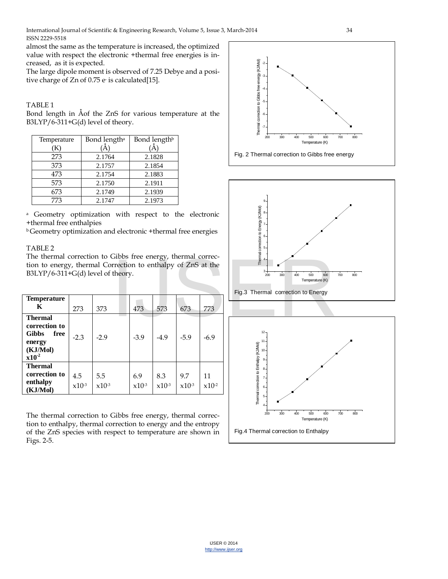almost the same as the temperature is increased, the optimized value with respect the electronic +thermal free energies is increased, as it is expected.

The large dipole moment is observed of 7.25 Debye and a positive charge of Zn of 0.75 e- is calculated[15].

#### TABLE 1

Bond length in Åof the ZnS for various temperature at the B3LYP/6-311+G(d) level of theory.

| Temperature | Bond length <sup>a</sup> | Bond length <sup>b</sup> |
|-------------|--------------------------|--------------------------|
| K)          |                          |                          |
| 273         | 2.1764                   | 2.1828                   |
| 373         | 2.1757                   | 2.1854                   |
| 473         | 2.1754                   | 2.1883                   |
| 573         | 2.1750                   | 2.1911                   |
| 673         | 2.1749                   | 2.1939                   |
| 773         | 2.1747                   | 2.1973                   |

<sup>a</sup> Geometry optimization with respect to the electronic +thermal free enthalpies

b Geometry optimization and electronic +thermal free energies

### TABLE 2

The thermal correction to Gibbs free energy, thermal correction to energy, thermal Correction to enthalpy of ZnS at the B3LYP/6-311+G(d) level of theory.

| <b>Temperature</b><br>K                                                                     | 273               | 373               | 473            | 573               | 673               | 773              |
|---------------------------------------------------------------------------------------------|-------------------|-------------------|----------------|-------------------|-------------------|------------------|
| <b>Thermal</b><br>correction to<br><b>Gibbs</b><br>free<br>energy<br>(KJ/Mol)<br>$x10^{-2}$ | $-2.3$            | $-2.9$            | $-3.9$         | $-4.9$            | $-5.9$            | $-6.9$           |
| <b>Thermal</b><br>correction to<br>enthalpy<br>(KJ/Mol)                                     | 4.5<br>$x10^{-3}$ | 5.5<br>$x10^{-3}$ | 6.9<br>$x10-3$ | 8.3<br>$x10^{-3}$ | 9.7<br>$x10^{-3}$ | 11<br>$x10^{-2}$ |

The thermal correction to Gibbs free energy, thermal correction to enthalpy, thermal correction to energy and the entropy of the ZnS species with respect to temperature are shown in Figs. 2-5.







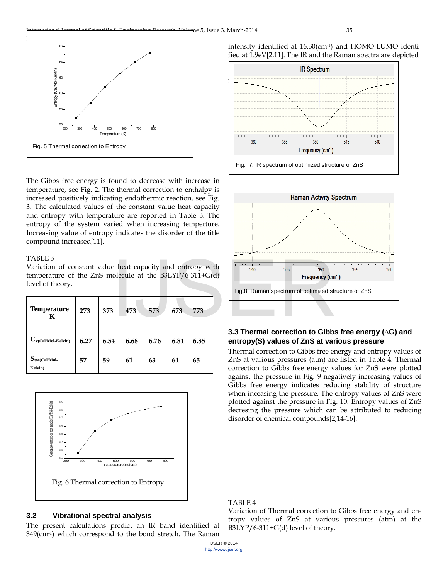

The Gibbs free energy is found to decrease with increase in temperature, see Fig. 2. The thermal correction to enthalpy is increased positively indicating endothermic reaction, see Fig. 3. The calculated values of the constant value heat capacity and entropy with temperature are reported in Table 3. The entropy of the system varied when increasing temperture. Increasing value of entropy indicates the disorder of the title compound increased[11].

#### TABLE 3

Variation of constant value heat capacity and entropy with temperature of the ZnS molecule at the B3LYP/6-311+G(d) level of theory.

| <b>Temperature</b><br>K              | 273  | 373  | 473  | 573  | 673  | 773  |
|--------------------------------------|------|------|------|------|------|------|
| $C_{v(Cal/Mol\text{-}Kelvin)}$       | 6.27 | 6.54 | 6.68 | 6.76 | 6.81 | 6.85 |
| $S_{\text{tot(Cal/Mol-}}$<br>Kelvin) | 57   | 59   | 61   | 63   | 64   | 65   |



#### **3.2 Vibrational spectral analysis**

The present calculations predict an IR band identified at 349(cm-1) which correspond to the bond stretch. The Raman







### **3.3 Thermal correction to Gibbs free energy (∆G) and entropy(S) values of ZnS at various pressure**

Thermal correction to Gibbs free energy and entropy values of ZnS at various pressures (atm) are listed in Table 4. Thermal correction to Gibbs free energy values for ZnS were plotted against the pressure in Fig. 9 negatively increasing values of Gibbs free energy indicates reducing stability of structure when inceasing the pressure. The entropy values of ZnS were plotted against the pressure in Fig. 10. Entropy values of ZnS decresing the pressure which can be attributed to reducing disorder of chemical compounds[2,14-16].

### TABLE 4

Variation of Thermal correction to Gibbs free energy and entropy values of ZnS at various pressures (atm) at the B3LYP/6-311+G(d) level of theory.